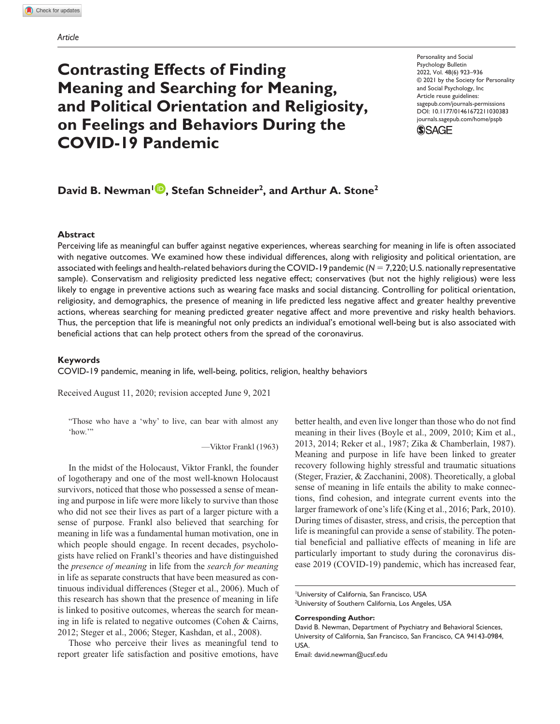# **Contrasting Effects of Finding Meaning and Searching for Meaning, and Political Orientation and Religiosity, on Feelings and Behaviors During the COVID-19 Pandemic**

https://doi.org/10.1177/01461672211030383 DOI: 10.1177/01461672211030383 Personality and Social Psychology Bulletin 2022, Vol. 48(6) 923–936 © 2021 by the Society for Personality and Social Psychology, Inc Article reuse guidelines: [sagepub.com/journals-permissions](https://us.sagepub.com/en-us/journals-permissions) [journals.sagepub.com/home/pspb](http://journals.sagepub.com/home/pspb)



## **David B. Newman<sup>1</sup> <b>D**, Stefan Schneider<sup>2</sup>, and Arthur A. Stone<sup>2</sup>

#### **Abstract**

Perceiving life as meaningful can buffer against negative experiences, whereas searching for meaning in life is often associated with negative outcomes. We examined how these individual differences, along with religiosity and political orientation, are associated with feelings and health-related behaviors during the COVID-19 pandemic (*N* = 7,220; U.S. nationally representative sample). Conservatism and religiosity predicted less negative effect; conservatives (but not the highly religious) were less likely to engage in preventive actions such as wearing face masks and social distancing. Controlling for political orientation, religiosity, and demographics, the presence of meaning in life predicted less negative affect and greater healthy preventive actions, whereas searching for meaning predicted greater negative affect and more preventive and risky health behaviors. Thus, the perception that life is meaningful not only predicts an individual's emotional well-being but is also associated with beneficial actions that can help protect others from the spread of the coronavirus.

#### **Keywords**

COVID-19 pandemic, meaning in life, well-being, politics, religion, healthy behaviors

Received August 11, 2020; revision accepted June 9, 2021

"Those who have a 'why' to live, can bear with almost any 'how."

—Viktor Frankl (1963)

In the midst of the Holocaust, Viktor Frankl, the founder of logotherapy and one of the most well-known Holocaust survivors, noticed that those who possessed a sense of meaning and purpose in life were more likely to survive than those who did not see their lives as part of a larger picture with a sense of purpose. Frankl also believed that searching for meaning in life was a fundamental human motivation, one in which people should engage. In recent decades, psychologists have relied on Frankl's theories and have distinguished the *presence of meaning* in life from the *search for meaning* in life as separate constructs that have been measured as continuous individual differences (Steger et al., 2006). Much of this research has shown that the presence of meaning in life is linked to positive outcomes, whereas the search for meaning in life is related to negative outcomes (Cohen & Cairns, 2012; Steger et al., 2006; Steger, Kashdan, et al., 2008).

Those who perceive their lives as meaningful tend to report greater life satisfaction and positive emotions, have better health, and even live longer than those who do not find meaning in their lives (Boyle et al., 2009, 2010; Kim et al., 2013, 2014; Reker et al., 1987; Zika & Chamberlain, 1987). Meaning and purpose in life have been linked to greater recovery following highly stressful and traumatic situations (Steger, Frazier, & Zacchanini, 2008). Theoretically, a global sense of meaning in life entails the ability to make connections, find cohesion, and integrate current events into the larger framework of one's life (King et al., 2016; Park, 2010). During times of disaster, stress, and crisis, the perception that life is meaningful can provide a sense of stability. The potential beneficial and palliative effects of meaning in life are particularly important to study during the coronavirus disease 2019 (COVID-19) pandemic, which has increased fear,

**Corresponding Author:**

Email: [david.newman@ucsf.edu](mailto:david.newman@ucsf.edu)

<sup>1</sup> University of California, San Francisco, USA

<sup>&</sup>lt;sup>2</sup>University of Southern California, Los Angeles, USA

David B. Newman, Department of Psychiatry and Behavioral Sciences, University of California, San Francisco, San Francisco, CA 94143-0984, USA.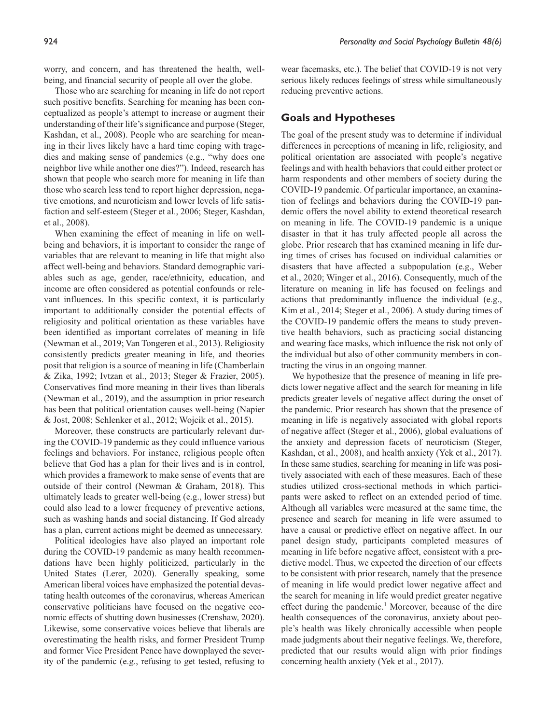worry, and concern, and has threatened the health, wellbeing, and financial security of people all over the globe.

Those who are searching for meaning in life do not report such positive benefits. Searching for meaning has been conceptualized as people's attempt to increase or augment their understanding of their life's significance and purpose (Steger, Kashdan, et al., 2008). People who are searching for meaning in their lives likely have a hard time coping with tragedies and making sense of pandemics (e.g., "why does one neighbor live while another one dies?"). Indeed, research has shown that people who search more for meaning in life than those who search less tend to report higher depression, negative emotions, and neuroticism and lower levels of life satisfaction and self-esteem (Steger et al., 2006; Steger, Kashdan, et al., 2008).

When examining the effect of meaning in life on wellbeing and behaviors, it is important to consider the range of variables that are relevant to meaning in life that might also affect well-being and behaviors. Standard demographic variables such as age, gender, race/ethnicity, education, and income are often considered as potential confounds or relevant influences. In this specific context, it is particularly important to additionally consider the potential effects of religiosity and political orientation as these variables have been identified as important correlates of meaning in life (Newman et al., 2019; Van Tongeren et al., 2013). Religiosity consistently predicts greater meaning in life, and theories posit that religion is a source of meaning in life (Chamberlain & Zika, 1992; Ivtzan et al., 2013; Steger & Frazier, 2005). Conservatives find more meaning in their lives than liberals (Newman et al., 2019), and the assumption in prior research has been that political orientation causes well-being (Napier & Jost, 2008; Schlenker et al., 2012; Wojcik et al., 2015).

Moreover, these constructs are particularly relevant during the COVID-19 pandemic as they could influence various feelings and behaviors. For instance, religious people often believe that God has a plan for their lives and is in control, which provides a framework to make sense of events that are outside of their control (Newman & Graham, 2018). This ultimately leads to greater well-being (e.g., lower stress) but could also lead to a lower frequency of preventive actions, such as washing hands and social distancing. If God already has a plan, current actions might be deemed as unnecessary.

Political ideologies have also played an important role during the COVID-19 pandemic as many health recommendations have been highly politicized, particularly in the United States (Lerer, 2020). Generally speaking, some American liberal voices have emphasized the potential devastating health outcomes of the coronavirus, whereas American conservative politicians have focused on the negative economic effects of shutting down businesses (Crenshaw, 2020). Likewise, some conservative voices believe that liberals are overestimating the health risks, and former President Trump and former Vice President Pence have downplayed the severity of the pandemic (e.g., refusing to get tested, refusing to wear facemasks, etc.). The belief that COVID-19 is not very serious likely reduces feelings of stress while simultaneously reducing preventive actions.

## **Goals and Hypotheses**

The goal of the present study was to determine if individual differences in perceptions of meaning in life, religiosity, and political orientation are associated with people's negative feelings and with health behaviors that could either protect or harm respondents and other members of society during the COVID-19 pandemic. Of particular importance, an examination of feelings and behaviors during the COVID-19 pandemic offers the novel ability to extend theoretical research on meaning in life. The COVID-19 pandemic is a unique disaster in that it has truly affected people all across the globe. Prior research that has examined meaning in life during times of crises has focused on individual calamities or disasters that have affected a subpopulation (e.g., Weber et al., 2020; Winger et al., 2016). Consequently, much of the literature on meaning in life has focused on feelings and actions that predominantly influence the individual (e.g., Kim et al., 2014; Steger et al., 2006). A study during times of the COVID-19 pandemic offers the means to study preventive health behaviors, such as practicing social distancing and wearing face masks, which influence the risk not only of the individual but also of other community members in contracting the virus in an ongoing manner.

We hypothesize that the presence of meaning in life predicts lower negative affect and the search for meaning in life predicts greater levels of negative affect during the onset of the pandemic. Prior research has shown that the presence of meaning in life is negatively associated with global reports of negative affect (Steger et al., 2006), global evaluations of the anxiety and depression facets of neuroticism (Steger, Kashdan, et al., 2008), and health anxiety (Yek et al., 2017). In these same studies, searching for meaning in life was positively associated with each of these measures. Each of these studies utilized cross-sectional methods in which participants were asked to reflect on an extended period of time. Although all variables were measured at the same time, the presence and search for meaning in life were assumed to have a causal or predictive effect on negative affect. In our panel design study, participants completed measures of meaning in life before negative affect, consistent with a predictive model. Thus, we expected the direction of our effects to be consistent with prior research, namely that the presence of meaning in life would predict lower negative affect and the search for meaning in life would predict greater negative effect during the pandemic.<sup>1</sup> Moreover, because of the dire health consequences of the coronavirus, anxiety about people's health was likely chronically accessible when people made judgments about their negative feelings. We, therefore, predicted that our results would align with prior findings concerning health anxiety (Yek et al., 2017).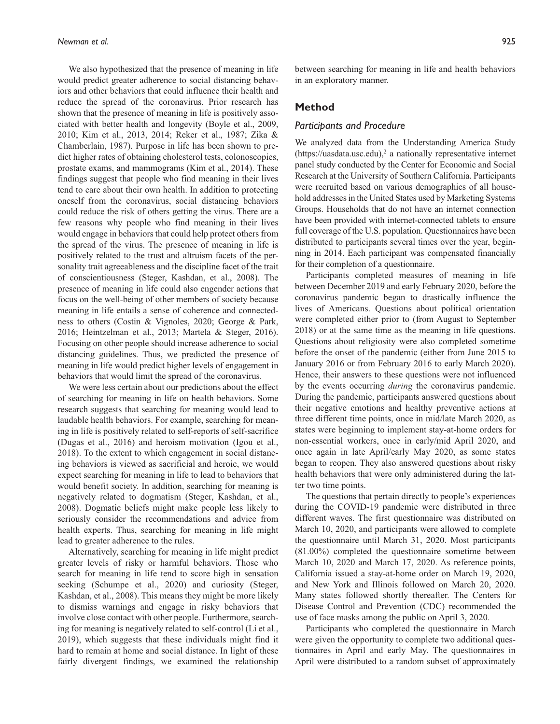We also hypothesized that the presence of meaning in life would predict greater adherence to social distancing behaviors and other behaviors that could influence their health and reduce the spread of the coronavirus. Prior research has shown that the presence of meaning in life is positively associated with better health and longevity (Boyle et al., 2009, 2010; Kim et al., 2013, 2014; Reker et al., 1987; Zika & Chamberlain, 1987). Purpose in life has been shown to predict higher rates of obtaining cholesterol tests, colonoscopies, prostate exams, and mammograms (Kim et al., 2014). These findings suggest that people who find meaning in their lives tend to care about their own health. In addition to protecting oneself from the coronavirus, social distancing behaviors could reduce the risk of others getting the virus. There are a few reasons why people who find meaning in their lives would engage in behaviors that could help protect others from the spread of the virus. The presence of meaning in life is positively related to the trust and altruism facets of the personality trait agreeableness and the discipline facet of the trait of conscientiousness (Steger, Kashdan, et al., 2008). The presence of meaning in life could also engender actions that focus on the well-being of other members of society because meaning in life entails a sense of coherence and connectedness to others (Costin & Vignoles, 2020; George & Park, 2016; Heintzelman et al., 2013; Martela & Steger, 2016). Focusing on other people should increase adherence to social distancing guidelines. Thus, we predicted the presence of meaning in life would predict higher levels of engagement in behaviors that would limit the spread of the coronavirus.

We were less certain about our predictions about the effect of searching for meaning in life on health behaviors. Some research suggests that searching for meaning would lead to laudable health behaviors. For example, searching for meaning in life is positively related to self-reports of self-sacrifice (Dugas et al., 2016) and heroism motivation (Igou et al., 2018). To the extent to which engagement in social distancing behaviors is viewed as sacrificial and heroic, we would expect searching for meaning in life to lead to behaviors that would benefit society. In addition, searching for meaning is negatively related to dogmatism (Steger, Kashdan, et al., 2008). Dogmatic beliefs might make people less likely to seriously consider the recommendations and advice from health experts. Thus, searching for meaning in life might lead to greater adherence to the rules.

Alternatively, searching for meaning in life might predict greater levels of risky or harmful behaviors. Those who search for meaning in life tend to score high in sensation seeking (Schumpe et al., 2020) and curiosity (Steger, Kashdan, et al., 2008). This means they might be more likely to dismiss warnings and engage in risky behaviors that involve close contact with other people. Furthermore, searching for meaning is negatively related to self-control (Li et al., 2019), which suggests that these individuals might find it hard to remain at home and social distance. In light of these fairly divergent findings, we examined the relationship

between searching for meaning in life and health behaviors in an exploratory manner.

## **Method**

## *Participants and Procedure*

We analyzed data from the Understanding America Study  $(\text{https://uasdata.usc.edu),}^2$  $(\text{https://uasdata.usc.edu),}^2$  $(\text{https://uasdata.usc.edu),}^2$  a nationally representative internet panel study conducted by the Center for Economic and Social Research at the University of Southern California. Participants were recruited based on various demographics of all household addresses in the United States used by Marketing Systems Groups. Households that do not have an internet connection have been provided with internet-connected tablets to ensure full coverage of the U.S. population. Questionnaires have been distributed to participants several times over the year, beginning in 2014. Each participant was compensated financially for their completion of a questionnaire.

Participants completed measures of meaning in life between December 2019 and early February 2020, before the coronavirus pandemic began to drastically influence the lives of Americans. Questions about political orientation were completed either prior to (from August to September 2018) or at the same time as the meaning in life questions. Questions about religiosity were also completed sometime before the onset of the pandemic (either from June 2015 to January 2016 or from February 2016 to early March 2020). Hence, their answers to these questions were not influenced by the events occurring *during* the coronavirus pandemic. During the pandemic, participants answered questions about their negative emotions and healthy preventive actions at three different time points, once in mid/late March 2020, as states were beginning to implement stay-at-home orders for non-essential workers, once in early/mid April 2020, and once again in late April/early May 2020, as some states began to reopen. They also answered questions about risky health behaviors that were only administered during the latter two time points.

The questions that pertain directly to people's experiences during the COVID-19 pandemic were distributed in three different waves. The first questionnaire was distributed on March 10, 2020, and participants were allowed to complete the questionnaire until March 31, 2020. Most participants (81.00%) completed the questionnaire sometime between March 10, 2020 and March 17, 2020. As reference points, California issued a stay-at-home order on March 19, 2020, and New York and Illinois followed on March 20, 2020. Many states followed shortly thereafter. The Centers for Disease Control and Prevention (CDC) recommended the use of face masks among the public on April 3, 2020.

Participants who completed the questionnaire in March were given the opportunity to complete two additional questionnaires in April and early May. The questionnaires in April were distributed to a random subset of approximately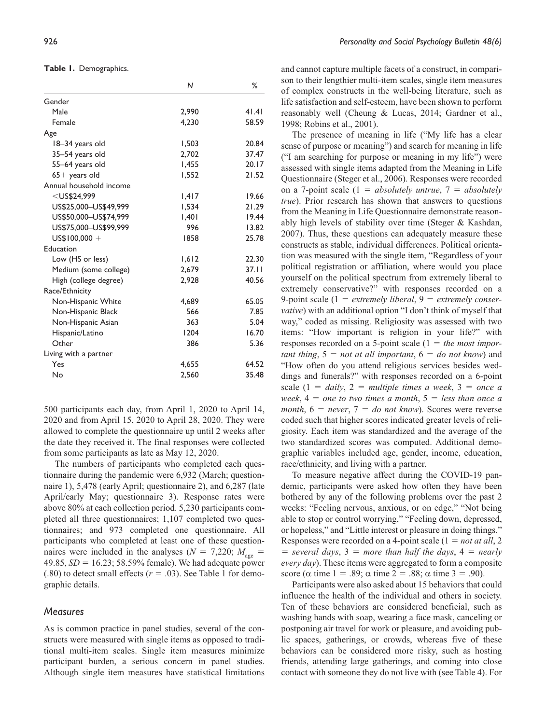**Table 1.** Demographics.

|                         | N     | %     |
|-------------------------|-------|-------|
| Gender                  |       |       |
| Male                    | 2,990 | 41.41 |
| Female                  | 4.230 | 58.59 |
| Age                     |       |       |
| 18–34 years old         | 1,503 | 20.84 |
| 35-54 years old         | 2,702 | 37.47 |
| 55-64 years old         | 1,455 | 20.17 |
| $65+$ years old         | 1,552 | 21.52 |
| Annual household income |       |       |
| $<$ US\$24.999          | 1,417 | 19.66 |
| US\$25.000-US\$49.999   | 1,534 | 21.29 |
| US\$50,000-US\$74,999   | 1,401 | 19.44 |
| US\$75,000-US\$99,999   | 996   | 13.82 |
| $US$100,000 +$          | 1858  | 25.78 |
| Education               |       |       |
| Low (HS or less)        | 1,612 | 22.30 |
| Medium (some college)   | 2,679 | 37.11 |
| High (college degree)   | 2,928 | 40.56 |
| Race/Ethnicity          |       |       |
| Non-Hispanic White      | 4.689 | 65.05 |
| Non-Hispanic Black      | 566   | 7.85  |
| Non-Hispanic Asian      | 363   | 5.04  |
| Hispanic/Latino         | 1204  | 16.70 |
| Other                   | 386   | 5.36  |
| Living with a partner   |       |       |
| Yes                     | 4,655 | 64.52 |
| No                      | 2,560 | 35.48 |

500 participants each day, from April 1, 2020 to April 14, 2020 and from April 15, 2020 to April 28, 2020. They were allowed to complete the questionnaire up until 2 weeks after the date they received it. The final responses were collected from some participants as late as May 12, 2020.

The numbers of participants who completed each questionnaire during the pandemic were 6,932 (March; questionnaire 1), 5,478 (early April; questionnaire 2), and 6,287 (late April/early May; questionnaire 3). Response rates were above 80% at each collection period. 5,230 participants completed all three questionnaires; 1,107 completed two questionnaires; and 973 completed one questionnaire. All participants who completed at least one of these questionnaires were included in the analyses ( $N = 7,220$ ;  $M_{\text{age}} =$ 49.85, *SD* = 16.23; 58.59% female). We had adequate power  $(.80)$  to detect small effects ( $r = .03$ ). See Table 1 for demographic details.

## *Measures*

As is common practice in panel studies, several of the constructs were measured with single items as opposed to traditional multi-item scales. Single item measures minimize participant burden, a serious concern in panel studies. Although single item measures have statistical limitations and cannot capture multiple facets of a construct, in comparison to their lengthier multi-item scales, single item measures of complex constructs in the well-being literature, such as life satisfaction and self-esteem, have been shown to perform reasonably well (Cheung & Lucas, 2014; Gardner et al., 1998; Robins et al., 2001).

The presence of meaning in life ("My life has a clear sense of purpose or meaning") and search for meaning in life ("I am searching for purpose or meaning in my life") were assessed with single items adapted from the Meaning in Life Questionnaire (Steger et al., 2006). Responses were recorded on a 7-point scale (1 = *absolutely untrue*, 7 = *absolutely true*). Prior research has shown that answers to questions from the Meaning in Life Questionnaire demonstrate reasonably high levels of stability over time (Steger & Kashdan, 2007). Thus, these questions can adequately measure these constructs as stable, individual differences. Political orientation was measured with the single item, "Regardless of your political registration or affiliation, where would you place yourself on the political spectrum from extremely liberal to extremely conservative?" with responses recorded on a 9-point scale (1 = *extremely liberal*, 9 = *extremely conservative*) with an additional option "I don't think of myself that way," coded as missing. Religiosity was assessed with two items: "How important is religion in your life?" with responses recorded on a 5-point scale (1 = *the most important thing*, 5 = *not at all important*, 6 = *do not know*) and "How often do you attend religious services besides weddings and funerals?" with responses recorded on a 6-point scale  $(1 = \text{daily}, 2 = \text{multiple times a week}, 3 = \text{once a})$ *week*, 4 = *one to two times a month*, 5 = *less than once a month*, 6 = *never*, 7 = *do not know*). Scores were reverse coded such that higher scores indicated greater levels of religiosity. Each item was standardized and the average of the two standardized scores was computed. Additional demographic variables included age, gender, income, education, race/ethnicity, and living with a partner.

To measure negative affect during the COVID-19 pandemic, participants were asked how often they have been bothered by any of the following problems over the past 2 weeks: "Feeling nervous, anxious, or on edge," "Not being able to stop or control worrying," "Feeling down, depressed, or hopeless," and "Little interest or pleasure in doing things." Responses were recorded on a 4-point scale (1 = *not at all*, 2  $=$  *several days*,  $3 =$  *more than half the days*,  $4 =$  *nearly every day*). These items were aggregated to form a composite score ( $\alpha$  time 1 = .89;  $\alpha$  time 2 = .88;  $\alpha$  time 3 = .90).

Participants were also asked about 15 behaviors that could influence the health of the individual and others in society. Ten of these behaviors are considered beneficial, such as washing hands with soap, wearing a face mask, canceling or postponing air travel for work or pleasure, and avoiding public spaces, gatherings, or crowds, whereas five of these behaviors can be considered more risky, such as hosting friends, attending large gatherings, and coming into close contact with someone they do not live with (see Table 4). For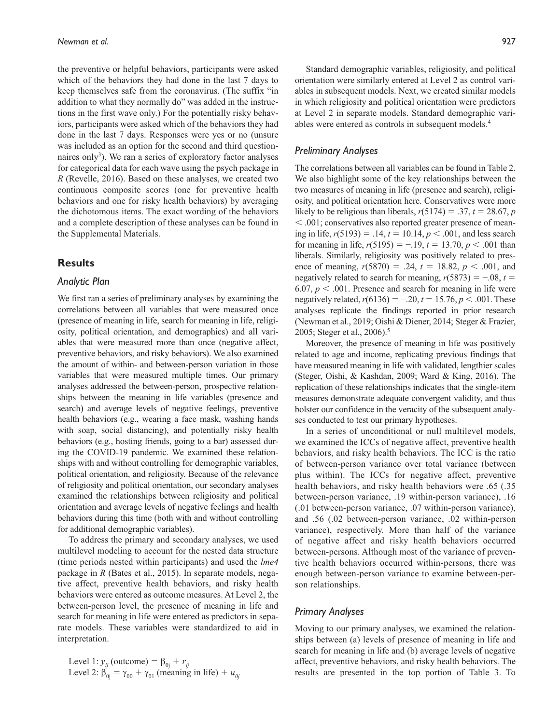the preventive or helpful behaviors, participants were asked which of the behaviors they had done in the last 7 days to keep themselves safe from the coronavirus. (The suffix "in addition to what they normally do" was added in the instructions in the first wave only.) For the potentially risky behaviors, participants were asked which of the behaviors they had done in the last 7 days. Responses were yes or no (unsure was included as an option for the second and third questionnaires only<sup>3</sup>). We ran a series of exploratory factor analyses for categorical data for each wave using the psych package in *R* (Revelle, 2016). Based on these analyses, we created two continuous composite scores (one for preventive health behaviors and one for risky health behaviors) by averaging the dichotomous items. The exact wording of the behaviors and a complete description of these analyses can be found in the Supplemental Materials.

## **Results**

### *Analytic Plan*

We first ran a series of preliminary analyses by examining the correlations between all variables that were measured once (presence of meaning in life, search for meaning in life, religiosity, political orientation, and demographics) and all variables that were measured more than once (negative affect, preventive behaviors, and risky behaviors). We also examined the amount of within- and between-person variation in those variables that were measured multiple times. Our primary analyses addressed the between-person, prospective relationships between the meaning in life variables (presence and search) and average levels of negative feelings, preventive health behaviors (e.g., wearing a face mask, washing hands with soap, social distancing), and potentially risky health behaviors (e.g., hosting friends, going to a bar) assessed during the COVID-19 pandemic. We examined these relationships with and without controlling for demographic variables, political orientation, and religiosity. Because of the relevance of religiosity and political orientation, our secondary analyses examined the relationships between religiosity and political orientation and average levels of negative feelings and health behaviors during this time (both with and without controlling for additional demographic variables).

To address the primary and secondary analyses, we used multilevel modeling to account for the nested data structure (time periods nested within participants) and used the *lme4* package in *R* (Bates et al., 2015). In separate models, negative affect, preventive health behaviors, and risky health behaviors were entered as outcome measures. At Level 2, the between-person level, the presence of meaning in life and search for meaning in life were entered as predictors in separate models. These variables were standardized to aid in interpretation.

Level 1:  $y_{ij}$  (outcome) =  $\beta_{0j} + r_{ij}$ Level 2:  $\beta_{0j} = \gamma_{00} + \gamma_{01}$  (meaning in life) +  $u_{0j}$ 

Standard demographic variables, religiosity, and political orientation were similarly entered at Level 2 as control variables in subsequent models. Next, we created similar models in which religiosity and political orientation were predictors at Level 2 in separate models. Standard demographic variables were entered as controls in subsequent models.4

## *Preliminary Analyses*

The correlations between all variables can be found in Table 2. We also highlight some of the key relationships between the two measures of meaning in life (presence and search), religiosity, and political orientation here. Conservatives were more likely to be religious than liberals,  $r(5174) = .37$ ,  $t = 28.67$ , *p* < .001; conservatives also reported greater presence of meaning in life, *r*(5193) = .14, *t* = 10.14, *p* < .001, and less search for meaning in life,  $r(5195) = -.19$ ,  $t = 13.70$ ,  $p < .001$  than liberals. Similarly, religiosity was positively related to presence of meaning,  $r(5870) = .24$ ,  $t = 18.82$ ,  $p < .001$ , and negatively related to search for meaning,  $r(5873) = -.08$ ,  $t =$ 6.07,  $p < .001$ . Presence and search for meaning in life were negatively related, *r*(6136) = −.20, *t* = 15.76, *p* < .001. These analyses replicate the findings reported in prior research (Newman et al., 2019; Oishi & Diener, 2014; Steger & Frazier, 2005; Steger et al., 2006).<sup>5</sup>

Moreover, the presence of meaning in life was positively related to age and income, replicating previous findings that have measured meaning in life with validated, lengthier scales (Steger, Oishi, & Kashdan, 2009; Ward & King, 2016). The replication of these relationships indicates that the single-item measures demonstrate adequate convergent validity, and thus bolster our confidence in the veracity of the subsequent analyses conducted to test our primary hypotheses.

In a series of unconditional or null multilevel models, we examined the ICCs of negative affect, preventive health behaviors, and risky health behaviors. The ICC is the ratio of between-person variance over total variance (between plus within). The ICCs for negative affect, preventive health behaviors, and risky health behaviors were .65 (.35 between-person variance, .19 within-person variance), .16 (.01 between-person variance, .07 within-person variance), and .56 (.02 between-person variance, .02 within-person variance), respectively. More than half of the variance of negative affect and risky health behaviors occurred between-persons. Although most of the variance of preventive health behaviors occurred within-persons, there was enough between-person variance to examine between-person relationships.

#### *Primary Analyses*

Moving to our primary analyses, we examined the relationships between (a) levels of presence of meaning in life and search for meaning in life and (b) average levels of negative affect, preventive behaviors, and risky health behaviors. The results are presented in the top portion of Table 3. To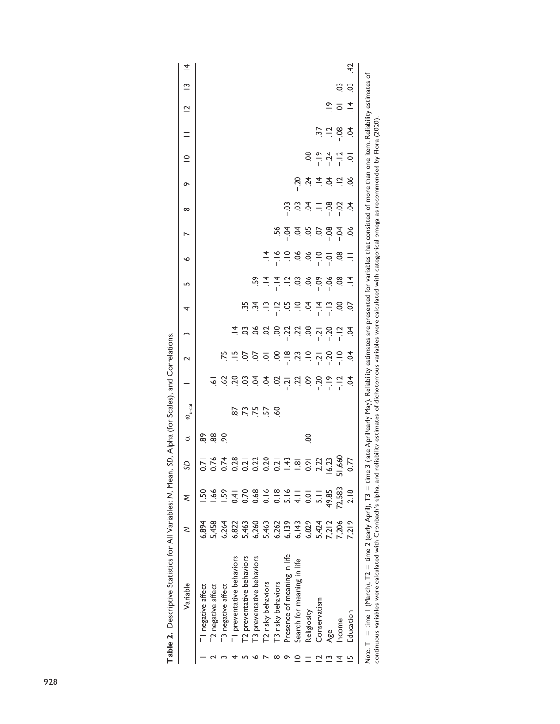| Variable                                                                                                                                  | z              | ξ              | S                 | ರ  | $\omega_{\textrm{u-cat}}$                                                                                                                                                                                                                                          |                    | 2                                       | m                                                                                                                                                                                                                                                                                                                   | 4                                                                                                                             | LN                                                                                                                                                                         | ∾                                                                                                               | N                                                                                                               | ∞       | ó       | $\subseteq$ | $=$                           | $\overline{a}$     | $\tilde{=}$ | $\overline{4}$ |
|-------------------------------------------------------------------------------------------------------------------------------------------|----------------|----------------|-------------------|----|--------------------------------------------------------------------------------------------------------------------------------------------------------------------------------------------------------------------------------------------------------------------|--------------------|-----------------------------------------|---------------------------------------------------------------------------------------------------------------------------------------------------------------------------------------------------------------------------------------------------------------------------------------------------------------------|-------------------------------------------------------------------------------------------------------------------------------|----------------------------------------------------------------------------------------------------------------------------------------------------------------------------|-----------------------------------------------------------------------------------------------------------------|-----------------------------------------------------------------------------------------------------------------|---------|---------|-------------|-------------------------------|--------------------|-------------|----------------|
| I negative affect                                                                                                                         | 6,894          |                | $\overline{5}$    | 89 |                                                                                                                                                                                                                                                                    |                    |                                         |                                                                                                                                                                                                                                                                                                                     |                                                                                                                               |                                                                                                                                                                            |                                                                                                                 |                                                                                                                 |         |         |             |                               |                    |             |                |
| T2 negative affect                                                                                                                        | 5,458          | $\frac{66}{1}$ | 0.76              | 88 |                                                                                                                                                                                                                                                                    | $\overline{\circ}$ |                                         |                                                                                                                                                                                                                                                                                                                     |                                                                                                                               |                                                                                                                                                                            |                                                                                                                 |                                                                                                                 |         |         |             |                               |                    |             |                |
| T3 negative affect                                                                                                                        | 5,264          | .59            | 0.74              | 9Ó |                                                                                                                                                                                                                                                                    |                    |                                         |                                                                                                                                                                                                                                                                                                                     |                                                                                                                               |                                                                                                                                                                            |                                                                                                                 |                                                                                                                 |         |         |             |                               |                    |             |                |
| [1] preventative behaviors                                                                                                                | 6,822          | $\overline{4}$ | 0.28              |    |                                                                                                                                                                                                                                                                    |                    |                                         |                                                                                                                                                                                                                                                                                                                     |                                                                                                                               |                                                                                                                                                                            |                                                                                                                 |                                                                                                                 |         |         |             |                               |                    |             |                |
| T2 preventative behaviors                                                                                                                 | 5,463          | 0.70           | 0.21              |    | 95559                                                                                                                                                                                                                                                              |                    |                                         |                                                                                                                                                                                                                                                                                                                     |                                                                                                                               |                                                                                                                                                                            |                                                                                                                 |                                                                                                                 |         |         |             |                               |                    |             |                |
| [3 preventative behaviors                                                                                                                 | 6,260          | 0.68           | 0.22              |    |                                                                                                                                                                                                                                                                    |                    |                                         |                                                                                                                                                                                                                                                                                                                     | <u>; x</u>                                                                                                                    |                                                                                                                                                                            |                                                                                                                 |                                                                                                                 |         |         |             |                               |                    |             |                |
| T2 risky behaviors                                                                                                                        | 5,463          | 0.16           | 0.20              |    |                                                                                                                                                                                                                                                                    |                    |                                         |                                                                                                                                                                                                                                                                                                                     |                                                                                                                               |                                                                                                                                                                            | $\frac{4}{1}$                                                                                                   |                                                                                                                 |         |         |             |                               |                    |             |                |
| T3 risky behaviors                                                                                                                        | 6,262          | 0.18           | 0.21              |    |                                                                                                                                                                                                                                                                    |                    |                                         |                                                                                                                                                                                                                                                                                                                     |                                                                                                                               |                                                                                                                                                                            |                                                                                                                 | 56.                                                                                                             |         |         |             |                               |                    |             |                |
| Presence of meaning in life                                                                                                               | 6,139          | 5.16           | 1.43              |    |                                                                                                                                                                                                                                                                    |                    |                                         |                                                                                                                                                                                                                                                                                                                     |                                                                                                                               |                                                                                                                                                                            |                                                                                                                 |                                                                                                                 | $-0.3$  |         |             |                               |                    |             |                |
| Search for meaning in life                                                                                                                | 6,143          | $\frac{1}{4}$  | $\frac{1}{8}$     |    |                                                                                                                                                                                                                                                                    | 3.83558778         | $15 - 5$ 5 5 6 9 $\frac{1}{2}$ $13 - 7$ | $\frac{1}{4}$ $\frac{3}{4}$ $\frac{3}{8}$ $\frac{3}{8}$ $\frac{3}{8}$ $\frac{3}{8}$ $\frac{3}{8}$ $\frac{3}{8}$ $\frac{3}{8}$ $\frac{3}{8}$ $\frac{3}{8}$ $\frac{3}{8}$ $\frac{3}{8}$ $\frac{3}{8}$ $\frac{3}{8}$ $\frac{3}{8}$ $\frac{3}{8}$ $\frac{3}{8}$ $\frac{3}{8}$ $\frac{3}{8}$ $\frac{3}{8}$ $\frac{3}{8}$ | $\frac{1}{x}$ $\frac{1}{y}$ $\frac{1}{z}$ $\frac{1}{z}$ $\frac{1}{z}$ $\frac{1}{z}$ $\frac{1}{z}$ $\frac{1}{z}$ $\frac{1}{z}$ | $5, \frac{4}{1}$ $\frac{4}{1}$ $\frac{1}{1}$ $\frac{1}{1}$ $\frac{3}{1}$ $\frac{8}{1}$ $\frac{8}{1}$ $\frac{8}{1}$ $\frac{8}{1}$ $\frac{8}{1}$ $\frac{4}{1}$ $\frac{4}{1}$ | $\frac{9}{1}$ $\frac{9}{1}$ $\frac{8}{1}$ $\frac{8}{1}$ $\frac{9}{1}$ $\frac{1}{1}$ $\frac{1}{1}$ $\frac{8}{1}$ | $\frac{5}{3}$ $\frac{5}{3}$ $\frac{5}{3}$ $\frac{5}{3}$ $\frac{5}{3}$ $\frac{6}{3}$ $\frac{5}{3}$ $\frac{6}{3}$ | CO.     | $-20$   |             |                               |                    |             |                |
| Religiosity                                                                                                                               | 6,829          | $-0.01$        | $\overline{6}$ .0 | 80 |                                                                                                                                                                                                                                                                    |                    |                                         |                                                                                                                                                                                                                                                                                                                     |                                                                                                                               |                                                                                                                                                                            |                                                                                                                 |                                                                                                                 | Ş       |         |             |                               |                    |             |                |
| Conservatism                                                                                                                              | 5,424          | $\frac{1}{5}$  | 2.22              |    |                                                                                                                                                                                                                                                                    | $-20$              |                                         |                                                                                                                                                                                                                                                                                                                     |                                                                                                                               |                                                                                                                                                                            |                                                                                                                 |                                                                                                                 | 든       |         |             |                               |                    |             |                |
| Age                                                                                                                                       |                | 49.85          | 16.23             |    |                                                                                                                                                                                                                                                                    | $-19$              | $-20$                                   |                                                                                                                                                                                                                                                                                                                     | $\frac{1}{4}$ $\frac{1}{4}$ $\frac{1}{8}$ $\frac{1}{8}$ $\frac{1}{9}$                                                         |                                                                                                                                                                            |                                                                                                                 |                                                                                                                 |         | 3.42328 |             | $\frac{1}{2}$ = $\frac{1}{2}$ | $\frac{6}{1}$      |             |                |
| Income                                                                                                                                    | 7,212<br>7,206 | 72,583         | ,660              |    |                                                                                                                                                                                                                                                                    | $-12$              |                                         |                                                                                                                                                                                                                                                                                                                     |                                                                                                                               |                                                                                                                                                                            |                                                                                                                 |                                                                                                                 | $-0.02$ |         |             |                               | $\overline{\circ}$ | So          |                |
| Education                                                                                                                                 | 7,219          | 2.18           | 0.77              |    |                                                                                                                                                                                                                                                                    | †č.                | ς-                                      |                                                                                                                                                                                                                                                                                                                     |                                                                                                                               |                                                                                                                                                                            | $\equiv$                                                                                                        | $-06$                                                                                                           | ₹.      |         |             | $-0.4$                        | $\frac{4}{1}$      | S           | $\ddot{ }$     |
| Note. $TI = time + (March)$ , $T2 = time 2$ (early April), $T3 = time$<br>continuous variables were calculated with Cronbach's alpha, and |                |                |                   |    | 3 (late April/early May). Reliability estimates are presented for variables that consisted of more than one item. Reliability estimates of<br>reliability estimates of dichotomous variables were calculated with categorical omega as recommended by Flora (2020) |                    |                                         |                                                                                                                                                                                                                                                                                                                     |                                                                                                                               |                                                                                                                                                                            |                                                                                                                 |                                                                                                                 |         |         |             |                               |                    |             |                |

| I                                         |
|-------------------------------------------|
| )<br>!<br>:                               |
|                                           |
| $\overline{a}$                            |
| $\ddot{\phantom{a}}$<br>$\frac{1}{2}$     |
| $\frac{1}{3}$<br>j                        |
| $\frac{1}{2}$                             |
|                                           |
| $\cdots$ and $\cdots$<br>.<br>.<br>.<br>. |
|                                           |
|                                           |
|                                           |
| I                                         |
| ⇒ Dost → Distant →<br>Tahle               |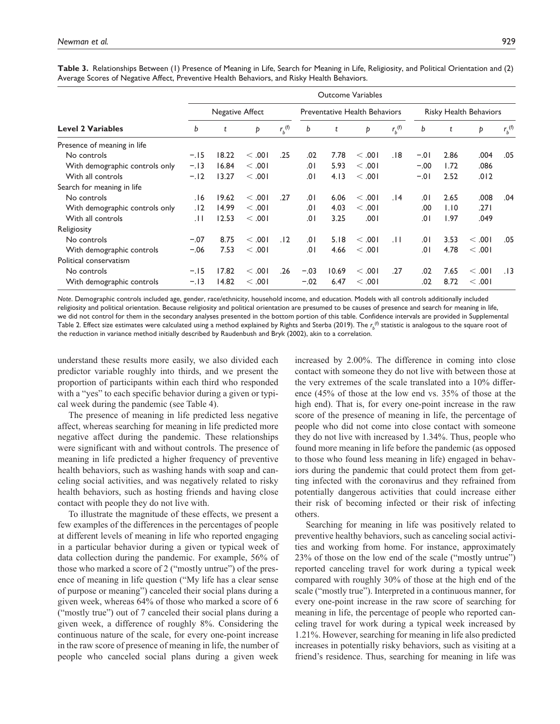|                                |        |                 |         |                   |        |       | <b>Outcome Variables</b>             |               |        |      |                        |                    |
|--------------------------------|--------|-----------------|---------|-------------------|--------|-------|--------------------------------------|---------------|--------|------|------------------------|--------------------|
|                                |        | Negative Affect |         |                   |        |       | <b>Preventative Health Behaviors</b> |               |        |      | Risky Health Behaviors |                    |
| <b>Level 2 Variables</b>       | b      | t               | Þ       | $r_b^{(\dagger)}$ | b      | t     | Þ                                    | $r_{h}^{(f)}$ | b      | t    | Þ                      | $r_b^{(\text{f})}$ |
| Presence of meaning in life    |        |                 |         |                   |        |       |                                      |               |        |      |                        |                    |
| No controls                    | $-.15$ | 18.22           | < 0.01  | .25               | .02    | 7.78  | < 0.01                               | .18           | $-.01$ | 2.86 | .004                   | .05                |
| With demographic controls only | $-.13$ | 16.84           | < 0.01  |                   | .01    | 5.93  | < 0.01                               |               | $-.00$ | 1.72 | .086                   |                    |
| With all controls              | $-.12$ | 13.27           | < 0.01  |                   | .01    | 4.13  | < 0.01                               |               | $-.01$ | 2.52 | .012                   |                    |
| Search for meaning in life     |        |                 |         |                   |        |       |                                      |               |        |      |                        |                    |
| No controls                    | 16.    | 19.62           | < 0.01  | .27               | .01    | 6.06  | < 0.01                               | .14           | .01    | 2.65 | .008                   | .04                |
| With demographic controls only | . 12   | 14.99           | < 0.01  |                   | .01    | 4.03  | $<$ .001                             |               | .00    | 1.10 | .271                   |                    |
| With all controls              | .H     | 12.53           | < 0.001 |                   | 0١.    | 3.25  | .001                                 |               | .01    | 1.97 | .049                   |                    |
| Religiosity                    |        |                 |         |                   |        |       |                                      |               |        |      |                        |                    |
| No controls                    | $-.07$ | 8.75            | < 0.01  | .12               | .01    | 5.18  | < 0.01                               | .11           | .01    | 3.53 | < 0.01                 | .05                |
| With demographic controls      | $-.06$ | 7.53            | < 0.01  |                   | .01    | 4.66  | < 0.01                               |               | .01    | 4.78 | < 0.01                 |                    |
| Political conservatism         |        |                 |         |                   |        |       |                                      |               |        |      |                        |                    |
| No controls                    | $-.15$ | 17.82           | < 0.01  | .26               | $-.03$ | 10.69 | < 0.01                               | .27           | .02    | 7.65 | < 0.01                 | .13                |
| With demographic controls      | $-.13$ | 14.82           | < 0.001 |                   | $-.02$ | 6.47  | < 0.01                               |               | .02    | 8.72 | < 0.01                 |                    |

**Table 3.** Relationships Between (1) Presence of Meaning in Life, Search for Meaning in Life, Religiosity, and Political Orientation and (2) Average Scores of Negative Affect, Preventive Health Behaviors, and Risky Health Behaviors.

*Note*. Demographic controls included age, gender, race/ethnicity, household income, and education. Models with all controls additionally included religiosity and political orientation. Because religiosity and political orientation are presumed to be causes of presence and search for meaning in life, we did not control for them in the secondary analyses presented in the bottom portion of this table. Confidence intervals are provided in Supplemental Table 2. Effect size estimates were calculated using a method explained by Rights and Sterba (2019). The  $r_b^{(\mathsf{f})}$  statistic is analogous to the square root of the reduction in variance method initially described by Raudenbush and Bryk (2002), akin to a correlation.

understand these results more easily, we also divided each predictor variable roughly into thirds, and we present the proportion of participants within each third who responded with a "yes" to each specific behavior during a given or typical week during the pandemic (see Table 4).

The presence of meaning in life predicted less negative affect, whereas searching for meaning in life predicted more negative affect during the pandemic. These relationships were significant with and without controls. The presence of meaning in life predicted a higher frequency of preventive health behaviors, such as washing hands with soap and canceling social activities, and was negatively related to risky health behaviors, such as hosting friends and having close contact with people they do not live with.

To illustrate the magnitude of these effects, we present a few examples of the differences in the percentages of people at different levels of meaning in life who reported engaging in a particular behavior during a given or typical week of data collection during the pandemic. For example, 56% of those who marked a score of 2 ("mostly untrue") of the presence of meaning in life question ("My life has a clear sense of purpose or meaning") canceled their social plans during a given week, whereas 64% of those who marked a score of 6 ("mostly true") out of 7 canceled their social plans during a given week, a difference of roughly 8%. Considering the continuous nature of the scale, for every one-point increase in the raw score of presence of meaning in life, the number of people who canceled social plans during a given week

increased by 2.00%. The difference in coming into close contact with someone they do not live with between those at the very extremes of the scale translated into a 10% difference (45% of those at the low end vs. 35% of those at the high end). That is, for every one-point increase in the raw score of the presence of meaning in life, the percentage of people who did not come into close contact with someone they do not live with increased by 1.34%. Thus, people who found more meaning in life before the pandemic (as opposed to those who found less meaning in life) engaged in behaviors during the pandemic that could protect them from getting infected with the coronavirus and they refrained from potentially dangerous activities that could increase either their risk of becoming infected or their risk of infecting others.

Searching for meaning in life was positively related to preventive healthy behaviors, such as canceling social activities and working from home. For instance, approximately 23% of those on the low end of the scale ("mostly untrue") reported canceling travel for work during a typical week compared with roughly 30% of those at the high end of the scale ("mostly true"). Interpreted in a continuous manner, for every one-point increase in the raw score of searching for meaning in life, the percentage of people who reported canceling travel for work during a typical week increased by 1.21%. However, searching for meaning in life also predicted increases in potentially risky behaviors, such as visiting at a friend's residence. Thus, searching for meaning in life was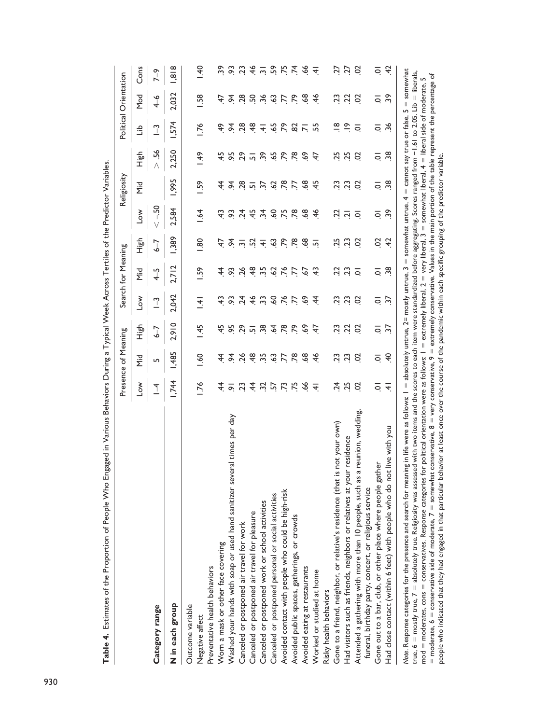|                                                                                                                                                                                                                                                                                                                                                                                                                                                                                                                                                                                                                                                                                                                                                                                                                                                                                                                                                                                                                                                |                       | Presence of Meaning |                             |                   | Search for Meaning   |                 |                          | Religiosity        |                 |                         | Political Orientation         |                                           |
|------------------------------------------------------------------------------------------------------------------------------------------------------------------------------------------------------------------------------------------------------------------------------------------------------------------------------------------------------------------------------------------------------------------------------------------------------------------------------------------------------------------------------------------------------------------------------------------------------------------------------------------------------------------------------------------------------------------------------------------------------------------------------------------------------------------------------------------------------------------------------------------------------------------------------------------------------------------------------------------------------------------------------------------------|-----------------------|---------------------|-----------------------------|-------------------|----------------------|-----------------|--------------------------|--------------------|-----------------|-------------------------|-------------------------------|-------------------------------------------|
|                                                                                                                                                                                                                                                                                                                                                                                                                                                                                                                                                                                                                                                                                                                                                                                                                                                                                                                                                                                                                                                | $\sim$                | Σi<br>Μ             | 소<br>도                      | $\sim$            | ΣiΑ                  | 소<br>도          | $\overline{\phantom{0}}$ | Σi<br>Σ            | 신호<br>고         | م<br>تا                 | Mod                           | Cons                                      |
| Category range                                                                                                                                                                                                                                                                                                                                                                                                                                                                                                                                                                                                                                                                                                                                                                                                                                                                                                                                                                                                                                 | $\overline{1}$        | S                   | $-2$                        | $\sqrt{-}$        | $\overline{+}$       | $-2$            | $-50$                    |                    | 56              | $\sqrt{2}$              | $\overline{+}$                | $7 - 9$                                   |
| N in each group                                                                                                                                                                                                                                                                                                                                                                                                                                                                                                                                                                                                                                                                                                                                                                                                                                                                                                                                                                                                                                | 1,744                 | 1,485               | 2,910                       | 2.042             | 2.712                | 1,389           | 2.584                    | 1,995              | 2,250           | 1,574                   | 2,032                         | 1,818                                     |
| Outcome variable<br>Negative affect                                                                                                                                                                                                                                                                                                                                                                                                                                                                                                                                                                                                                                                                                                                                                                                                                                                                                                                                                                                                            | 1.76                  | $-60$               | $-45$                       | $\frac{1}{4}$     | <b>1.59</b>          | $\frac{80}{2}$  | $-64$                    | <b>1.59</b>        | <b>9F1</b>      | 1.76                    | <b>1.58</b>                   | $\frac{40}{1}$                            |
| Preventative health behaviors                                                                                                                                                                                                                                                                                                                                                                                                                                                                                                                                                                                                                                                                                                                                                                                                                                                                                                                                                                                                                  |                       |                     |                             |                   |                      |                 |                          |                    |                 |                         |                               |                                           |
| Worn a mask or other face covering                                                                                                                                                                                                                                                                                                                                                                                                                                                                                                                                                                                                                                                                                                                                                                                                                                                                                                                                                                                                             | 4                     | 4                   | 45                          | 43                | 4                    | 42              | ᢡ                        | 4                  | 45              | Ҿ                       | 47                            | 39                                        |
| Washed your hands with soap or used hand sanitizer several times per day                                                                                                                                                                                                                                                                                                                                                                                                                                                                                                                                                                                                                                                                                                                                                                                                                                                                                                                                                                       | $\overline{\circ}$    | $\frac{5}{4}$       |                             |                   | 93.26                | 54              | 93                       |                    | 95              | $\frac{5}{4}$           |                               | $\ddot{\theta}$                           |
| Canceled or postponed air travel for work                                                                                                                                                                                                                                                                                                                                                                                                                                                                                                                                                                                                                                                                                                                                                                                                                                                                                                                                                                                                      | $\tilde{\mathcal{L}}$ | 26                  | $95$<br>$29$                | $5\frac{3}{11}$   |                      | $\overline{m}$  | $\overline{24}$          | 3, 28              | 29              | $\frac{28}{2}$          | 34.8                          | 23                                        |
| Canceled or postponed air travel for pleasure                                                                                                                                                                                                                                                                                                                                                                                                                                                                                                                                                                                                                                                                                                                                                                                                                                                                                                                                                                                                  | 4                     | $\frac{8}{4}$       | $\overline{5}$              | $\frac{4}{6}$     | $\frac{48}{5}$       | Σò              | 45                       | $\overline{2}$     | $\overline{5}$  | $\frac{8}{4}$           |                               | $\frac{4}{6}$                             |
| Canceled or postponed work or school activities                                                                                                                                                                                                                                                                                                                                                                                                                                                                                                                                                                                                                                                                                                                                                                                                                                                                                                                                                                                                |                       | 35                  | $\ddot{3}$                  | $\ddot{3}$        | $\ddot{5}$           | $\overline{+}$  | $\ddot{3}$               | 378                | 39              | $\overline{+}$          | 3, 3, 3, 5                    |                                           |
| Canceled or postponed personal or social activities                                                                                                                                                                                                                                                                                                                                                                                                                                                                                                                                                                                                                                                                                                                                                                                                                                                                                                                                                                                            | 37.57                 | $\ddot{\circ}$      | $\ddot{A}$                  | $\ddot{\text{o}}$ | $\ddot{\mathcal{S}}$ | $\mathcal{C}$   | 60                       |                    | -65             | $\ddot{6}$              |                               |                                           |
| Avoided contact with people who could be high-risk                                                                                                                                                                                                                                                                                                                                                                                                                                                                                                                                                                                                                                                                                                                                                                                                                                                                                                                                                                                             | $\ddot{v}$            | Ľ.                  | .78                         | .76               | .76                  | $\overline{r}$  | .75                      |                    | $\overline{r}$  | $\overline{r}$          |                               | $\frac{1}{2}$ $\frac{1}{2}$ $\frac{1}{2}$ |
| Avoided public spaces, gatherings, or crowds                                                                                                                                                                                                                                                                                                                                                                                                                                                                                                                                                                                                                                                                                                                                                                                                                                                                                                                                                                                                   | ΣŚ.                   | $\overline{78}$     | ξT,                         | 5.5               | Ľ.                   | $\overline{78}$ | .78                      | 17.89              | $\overline{78}$ | $rac{2}{2}$ $rac{1}{2}$ | P. 99                         | $74$ $-66$                                |
| Avoided eating at restaurants                                                                                                                                                                                                                                                                                                                                                                                                                                                                                                                                                                                                                                                                                                                                                                                                                                                                                                                                                                                                                  | 66                    | $\frac{8}{9}$       | $\mathcal{S}^{\mathcal{S}}$ |                   | 67                   | $\frac{8}{9}$   | $\frac{8}{9}$            |                    | 69              |                         |                               |                                           |
| Worked or studied at home                                                                                                                                                                                                                                                                                                                                                                                                                                                                                                                                                                                                                                                                                                                                                                                                                                                                                                                                                                                                                      | <u>4</u>              | $\frac{4}{5}$       | £.                          | 4                 | ᢡ                    | $\overline{5}$  | $\frac{4}{5}$            | $\ddot{ }$         | £.              | 55                      | $\frac{4}{6}$                 | $\overline{+}$                            |
| Risky health behaviors                                                                                                                                                                                                                                                                                                                                                                                                                                                                                                                                                                                                                                                                                                                                                                                                                                                                                                                                                                                                                         |                       |                     |                             |                   |                      |                 |                          |                    |                 |                         |                               |                                           |
| Gone to a friend, neighbor, or relative's residence (that is not your own)                                                                                                                                                                                                                                                                                                                                                                                                                                                                                                                                                                                                                                                                                                                                                                                                                                                                                                                                                                     | $\frac{4}{3}$         | 23                  | 23                          | 23                | 23                   | 25              | 21 vi                    | 23                 | 25              | ≌                       | 23                            | 27                                        |
| Had visitors such as friends, neighbors or relatives at your residence                                                                                                                                                                                                                                                                                                                                                                                                                                                                                                                                                                                                                                                                                                                                                                                                                                                                                                                                                                         | 25                    | 23                  |                             |                   |                      | 23              |                          |                    | 25              | $\tilde{=}$             |                               | <b>ZZ</b>                                 |
| a reunion, wedding,<br>Attended a gathering with more than 10 people, such as<br>funeral, birthday party, concert, or religious service                                                                                                                                                                                                                                                                                                                                                                                                                                                                                                                                                                                                                                                                                                                                                                                                                                                                                                        | S                     | S                   | S                           | S                 | ਠ                    | S               | ਠ                        | S                  | S               | ā                       | S                             | S                                         |
| Gone out to a bar, club, or other place where people gather                                                                                                                                                                                                                                                                                                                                                                                                                                                                                                                                                                                                                                                                                                                                                                                                                                                                                                                                                                                    | $\overline{\circ}$    | $\overline{\circ}$  | $\overline{Q}$              | $\overline{Q}$    | $\overline{\circ}$   | S               | ē                        | $\overline{\circ}$ | $\overline{Q}$  | $\overline{\mathsf{o}}$ | ē                             | $\overline{\circ}$                        |
| Had close contact (within 6 feet) with people who do not live with you                                                                                                                                                                                                                                                                                                                                                                                                                                                                                                                                                                                                                                                                                                                                                                                                                                                                                                                                                                         | ₹                     | $\ddot{ }$          | $\overline{37}$             | $\overline{37}$   | $\frac{38}{2}$       | $\ddot{c}$      | $\ddot{3}$               | $\frac{38}{2}$     | $\overline{38}$ | 36                      | $\ddot{3}$                    | 42                                        |
| = moderate, 6 = conservative side of moderate, 7 = somewhat conservative, 8 = very conservative, 9 = extremely conservative. Values in the main portion of the table represent the percentage of<br>$\text{mod}$ = $\text{moderates, cons}$ = $\text{conservatives}$ . Response categories for political orientation were as follows: $I$ = $\text{extremely liberal}, 2$ = very liberal, $3$ = $\text{somewhat liberal}, 4$ = liberal side of $\text{moderate},$<br>Note. Response categories for the presence and search for meaning in life were as follows: I = absolutely untrue, 2= mostly untrue, 3 = somewhat untrue, 4 = cannot say true or false,<br>true, $6 = \text{mostly true}, 7 = \text{absolutely true}.$ Religiosity was assessed with two items and the scores to each item were standardized before aggregating. Scores ranged from -1.61<br>people who indicated that they had engaged in that particular behavior at least once over the course of the pandemic within each specific grouping of the predictor variable. |                       |                     |                             |                   |                      |                 |                          |                    |                 | to 2.05. Lib            | $5 =$ somewhat<br>= liberals, | L                                         |

Table 4. Estimates of the Proportion of People Who Engaged in Various Behaviors During a Typical Week Across Tertiles of the Predictor Variables. **Table 4.** Estimates of the Proportion of People Who Engaged in Various Behaviors During a Typical Week Across Tertiles of the Predictor Variables.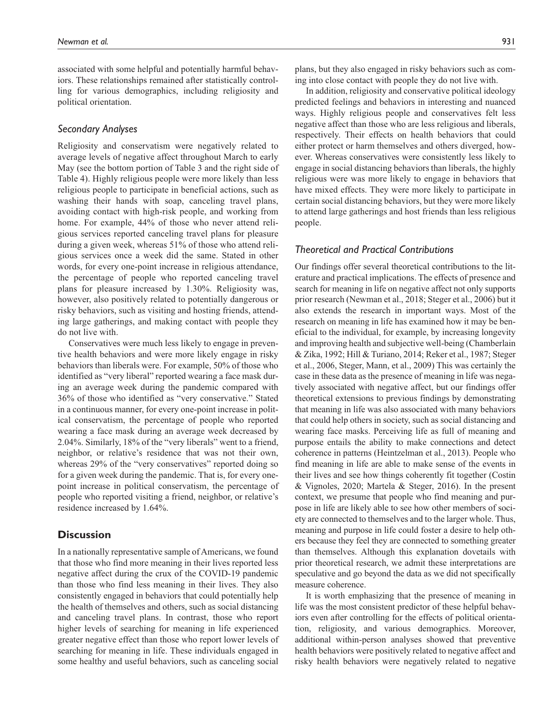associated with some helpful and potentially harmful behaviors. These relationships remained after statistically controlling for various demographics, including religiosity and political orientation.

### *Secondary Analyses*

Religiosity and conservatism were negatively related to average levels of negative affect throughout March to early May (see the bottom portion of Table 3 and the right side of Table 4). Highly religious people were more likely than less religious people to participate in beneficial actions, such as washing their hands with soap, canceling travel plans, avoiding contact with high-risk people, and working from home. For example, 44% of those who never attend religious services reported canceling travel plans for pleasure during a given week, whereas 51% of those who attend religious services once a week did the same. Stated in other words, for every one-point increase in religious attendance, the percentage of people who reported canceling travel plans for pleasure increased by 1.30%. Religiosity was, however, also positively related to potentially dangerous or risky behaviors, such as visiting and hosting friends, attending large gatherings, and making contact with people they do not live with.

Conservatives were much less likely to engage in preventive health behaviors and were more likely engage in risky behaviors than liberals were. For example, 50% of those who identified as "very liberal" reported wearing a face mask during an average week during the pandemic compared with 36% of those who identified as "very conservative." Stated in a continuous manner, for every one-point increase in political conservatism, the percentage of people who reported wearing a face mask during an average week decreased by 2.04%. Similarly, 18% of the "very liberals" went to a friend, neighbor, or relative's residence that was not their own, whereas 29% of the "very conservatives" reported doing so for a given week during the pandemic. That is, for every onepoint increase in political conservatism, the percentage of people who reported visiting a friend, neighbor, or relative's residence increased by 1.64%.

## **Discussion**

In a nationally representative sample of Americans, we found that those who find more meaning in their lives reported less negative affect during the crux of the COVID-19 pandemic than those who find less meaning in their lives. They also consistently engaged in behaviors that could potentially help the health of themselves and others, such as social distancing and canceling travel plans. In contrast, those who report higher levels of searching for meaning in life experienced greater negative effect than those who report lower levels of searching for meaning in life. These individuals engaged in some healthy and useful behaviors, such as canceling social

ing into close contact with people they do not live with. In addition, religiosity and conservative political ideology predicted feelings and behaviors in interesting and nuanced ways. Highly religious people and conservatives felt less negative affect than those who are less religious and liberals, respectively. Their effects on health behaviors that could either protect or harm themselves and others diverged, however. Whereas conservatives were consistently less likely to engage in social distancing behaviors than liberals, the highly religious were was more likely to engage in behaviors that have mixed effects. They were more likely to participate in certain social distancing behaviors, but they were more likely to attend large gatherings and host friends than less religious people.

## *Theoretical and Practical Contributions*

Our findings offer several theoretical contributions to the literature and practical implications. The effects of presence and search for meaning in life on negative affect not only supports prior research (Newman et al., 2018; Steger et al., 2006) but it also extends the research in important ways. Most of the research on meaning in life has examined how it may be beneficial to the individual, for example, by increasing longevity and improving health and subjective well-being (Chamberlain & Zika, 1992; Hill & Turiano, 2014; Reker et al., 1987; Steger et al., 2006, Steger, Mann, et al., 2009) This was certainly the case in these data as the presence of meaning in life was negatively associated with negative affect, but our findings offer theoretical extensions to previous findings by demonstrating that meaning in life was also associated with many behaviors that could help others in society, such as social distancing and wearing face masks. Perceiving life as full of meaning and purpose entails the ability to make connections and detect coherence in patterns (Heintzelman et al., 2013). People who find meaning in life are able to make sense of the events in their lives and see how things coherently fit together (Costin & Vignoles, 2020; Martela & Steger, 2016). In the present context, we presume that people who find meaning and purpose in life are likely able to see how other members of society are connected to themselves and to the larger whole. Thus, meaning and purpose in life could foster a desire to help others because they feel they are connected to something greater than themselves. Although this explanation dovetails with prior theoretical research, we admit these interpretations are speculative and go beyond the data as we did not specifically measure coherence.

It is worth emphasizing that the presence of meaning in life was the most consistent predictor of these helpful behaviors even after controlling for the effects of political orientation, religiosity, and various demographics. Moreover, additional within-person analyses showed that preventive health behaviors were positively related to negative affect and risky health behaviors were negatively related to negative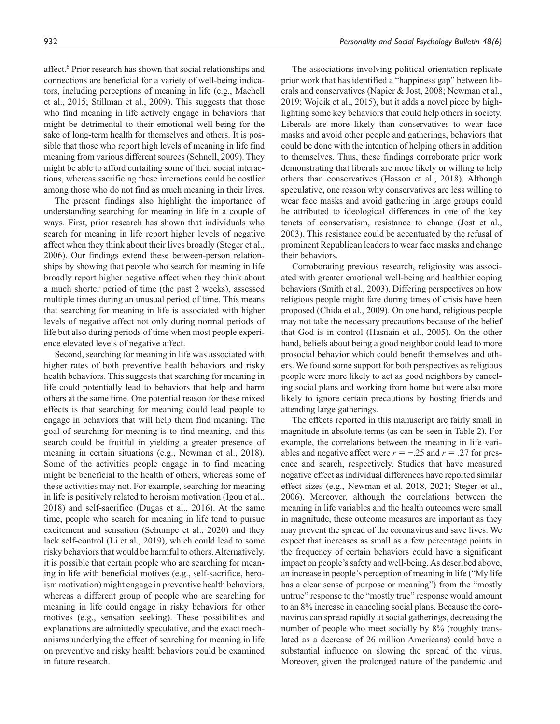affect.<sup>6</sup> Prior research has shown that social relationships and connections are beneficial for a variety of well-being indicators, including perceptions of meaning in life (e.g., Machell et al., 2015; Stillman et al., 2009). This suggests that those who find meaning in life actively engage in behaviors that might be detrimental to their emotional well-being for the sake of long-term health for themselves and others. It is possible that those who report high levels of meaning in life find meaning from various different sources (Schnell, 2009). They might be able to afford curtailing some of their social interactions, whereas sacrificing these interactions could be costlier among those who do not find as much meaning in their lives.

The present findings also highlight the importance of understanding searching for meaning in life in a couple of ways. First, prior research has shown that individuals who search for meaning in life report higher levels of negative affect when they think about their lives broadly (Steger et al., 2006). Our findings extend these between-person relationships by showing that people who search for meaning in life broadly report higher negative affect when they think about a much shorter period of time (the past 2 weeks), assessed multiple times during an unusual period of time. This means that searching for meaning in life is associated with higher levels of negative affect not only during normal periods of life but also during periods of time when most people experience elevated levels of negative affect.

Second, searching for meaning in life was associated with higher rates of both preventive health behaviors and risky health behaviors. This suggests that searching for meaning in life could potentially lead to behaviors that help and harm others at the same time. One potential reason for these mixed effects is that searching for meaning could lead people to engage in behaviors that will help them find meaning. The goal of searching for meaning is to find meaning, and this search could be fruitful in yielding a greater presence of meaning in certain situations (e.g., Newman et al., 2018). Some of the activities people engage in to find meaning might be beneficial to the health of others, whereas some of these activities may not. For example, searching for meaning in life is positively related to heroism motivation (Igou et al., 2018) and self-sacrifice (Dugas et al., 2016). At the same time, people who search for meaning in life tend to pursue excitement and sensation (Schumpe et al., 2020) and they lack self-control (Li et al., 2019), which could lead to some risky behaviors that would be harmful to others. Alternatively, it is possible that certain people who are searching for meaning in life with beneficial motives (e.g., self-sacrifice, heroism motivation) might engage in preventive health behaviors, whereas a different group of people who are searching for meaning in life could engage in risky behaviors for other motives (e.g., sensation seeking). These possibilities and explanations are admittedly speculative, and the exact mechanisms underlying the effect of searching for meaning in life on preventive and risky health behaviors could be examined in future research.

The associations involving political orientation replicate prior work that has identified a "happiness gap" between liberals and conservatives (Napier & Jost, 2008; Newman et al., 2019; Wojcik et al., 2015), but it adds a novel piece by highlighting some key behaviors that could help others in society. Liberals are more likely than conservatives to wear face masks and avoid other people and gatherings, behaviors that could be done with the intention of helping others in addition to themselves. Thus, these findings corroborate prior work demonstrating that liberals are more likely or willing to help others than conservatives (Hasson et al., 2018). Although speculative, one reason why conservatives are less willing to wear face masks and avoid gathering in large groups could be attributed to ideological differences in one of the key tenets of conservatism, resistance to change (Jost et al., 2003). This resistance could be accentuated by the refusal of prominent Republican leaders to wear face masks and change their behaviors.

Corroborating previous research, religiosity was associated with greater emotional well-being and healthier coping behaviors (Smith et al., 2003). Differing perspectives on how religious people might fare during times of crisis have been proposed (Chida et al., 2009). On one hand, religious people may not take the necessary precautions because of the belief that God is in control (Hasnain et al., 2005). On the other hand, beliefs about being a good neighbor could lead to more prosocial behavior which could benefit themselves and others. We found some support for both perspectives as religious people were more likely to act as good neighbors by canceling social plans and working from home but were also more likely to ignore certain precautions by hosting friends and attending large gatherings.

The effects reported in this manuscript are fairly small in magnitude in absolute terms (as can be seen in Table 2). For example, the correlations between the meaning in life variables and negative affect were  $r = -0.25$  and  $r = 0.27$  for presence and search, respectively. Studies that have measured negative effect as individual differences have reported similar effect sizes (e.g., Newman et al. 2018, 2021; Steger et al., 2006). Moreover, although the correlations between the meaning in life variables and the health outcomes were small in magnitude, these outcome measures are important as they may prevent the spread of the coronavirus and save lives. We expect that increases as small as a few percentage points in the frequency of certain behaviors could have a significant impact on people's safety and well-being. As described above, an increase in people's perception of meaning in life ("My life has a clear sense of purpose or meaning") from the "mostly untrue" response to the "mostly true" response would amount to an 8% increase in canceling social plans. Because the coronavirus can spread rapidly at social gatherings, decreasing the number of people who meet socially by 8% (roughly translated as a decrease of 26 million Americans) could have a substantial influence on slowing the spread of the virus. Moreover, given the prolonged nature of the pandemic and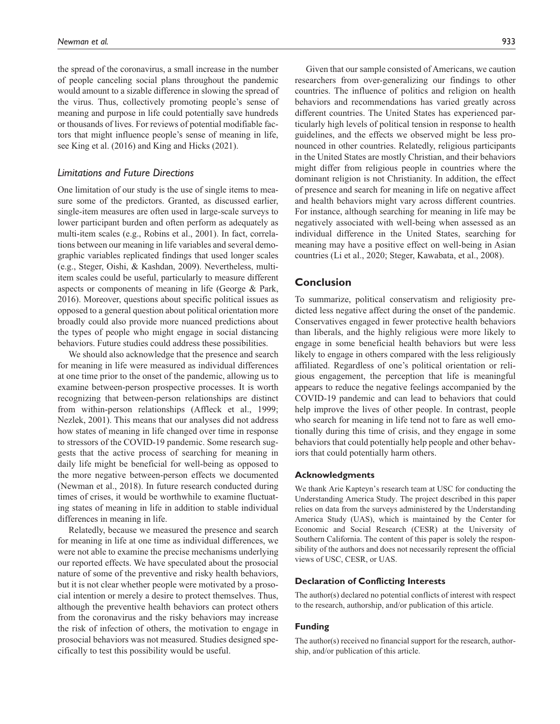the spread of the coronavirus, a small increase in the number of people canceling social plans throughout the pandemic would amount to a sizable difference in slowing the spread of the virus. Thus, collectively promoting people's sense of meaning and purpose in life could potentially save hundreds or thousands of lives. For reviews of potential modifiable factors that might influence people's sense of meaning in life, see King et al. (2016) and King and Hicks (2021).

### *Limitations and Future Directions*

One limitation of our study is the use of single items to measure some of the predictors. Granted, as discussed earlier, single-item measures are often used in large-scale surveys to lower participant burden and often perform as adequately as multi-item scales (e.g., Robins et al., 2001). In fact, correlations between our meaning in life variables and several demographic variables replicated findings that used longer scales (e.g., Steger, Oishi, & Kashdan, 2009). Nevertheless, multiitem scales could be useful, particularly to measure different aspects or components of meaning in life (George & Park, 2016). Moreover, questions about specific political issues as opposed to a general question about political orientation more broadly could also provide more nuanced predictions about the types of people who might engage in social distancing behaviors. Future studies could address these possibilities.

We should also acknowledge that the presence and search for meaning in life were measured as individual differences at one time prior to the onset of the pandemic, allowing us to examine between-person prospective processes. It is worth recognizing that between-person relationships are distinct from within-person relationships (Affleck et al., 1999; Nezlek, 2001). This means that our analyses did not address how states of meaning in life changed over time in response to stressors of the COVID-19 pandemic. Some research suggests that the active process of searching for meaning in daily life might be beneficial for well-being as opposed to the more negative between-person effects we documented (Newman et al., 2018). In future research conducted during times of crises, it would be worthwhile to examine fluctuating states of meaning in life in addition to stable individual differences in meaning in life.

Relatedly, because we measured the presence and search for meaning in life at one time as individual differences, we were not able to examine the precise mechanisms underlying our reported effects. We have speculated about the prosocial nature of some of the preventive and risky health behaviors, but it is not clear whether people were motivated by a prosocial intention or merely a desire to protect themselves. Thus, although the preventive health behaviors can protect others from the coronavirus and the risky behaviors may increase the risk of infection of others, the motivation to engage in prosocial behaviors was not measured. Studies designed specifically to test this possibility would be useful.

Given that our sample consisted of Americans, we caution researchers from over-generalizing our findings to other countries. The influence of politics and religion on health behaviors and recommendations has varied greatly across different countries. The United States has experienced particularly high levels of political tension in response to health guidelines, and the effects we observed might be less pronounced in other countries. Relatedly, religious participants in the United States are mostly Christian, and their behaviors might differ from religious people in countries where the dominant religion is not Christianity. In addition, the effect of presence and search for meaning in life on negative affect and health behaviors might vary across different countries. For instance, although searching for meaning in life may be negatively associated with well-being when assessed as an individual difference in the United States, searching for meaning may have a positive effect on well-being in Asian countries (Li et al., 2020; Steger, Kawabata, et al., 2008).

## **Conclusion**

To summarize, political conservatism and religiosity predicted less negative affect during the onset of the pandemic. Conservatives engaged in fewer protective health behaviors than liberals, and the highly religious were more likely to engage in some beneficial health behaviors but were less likely to engage in others compared with the less religiously affiliated. Regardless of one's political orientation or religious engagement, the perception that life is meaningful appears to reduce the negative feelings accompanied by the COVID-19 pandemic and can lead to behaviors that could help improve the lives of other people. In contrast, people who search for meaning in life tend not to fare as well emotionally during this time of crisis, and they engage in some behaviors that could potentially help people and other behaviors that could potentially harm others.

#### **Acknowledgments**

We thank Arie Kapteyn's research team at USC for conducting the Understanding America Study. The project described in this paper relies on data from the surveys administered by the Understanding America Study (UAS), which is maintained by the Center for Economic and Social Research (CESR) at the University of Southern California. The content of this paper is solely the responsibility of the authors and does not necessarily represent the official views of USC, CESR, or UAS.

#### **Declaration of Conflicting Interests**

The author(s) declared no potential conflicts of interest with respect to the research, authorship, and/or publication of this article.

#### **Funding**

The author(s) received no financial support for the research, authorship, and/or publication of this article.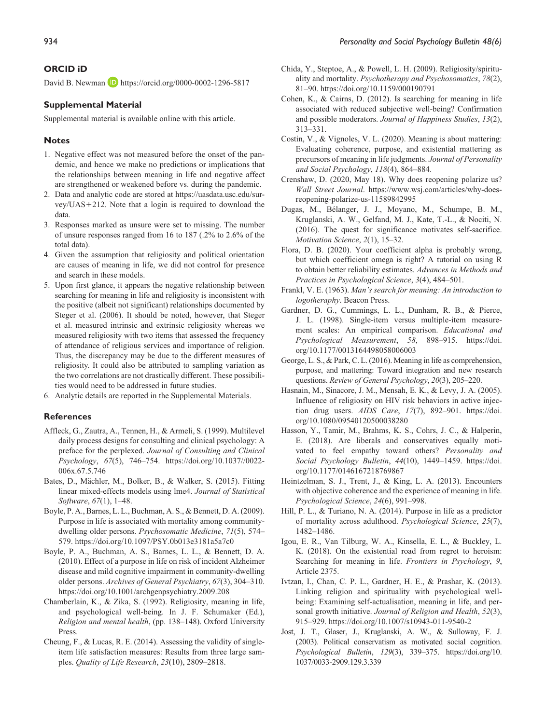#### **ORCID iD**

David B. Newman **D** <https://orcid.org/0000-0002-1296-5817>

#### **Supplemental Material**

Supplemental material is available online with this article.

#### **Notes**

- 1. Negative effect was not measured before the onset of the pandemic, and hence we make no predictions or implications that the relationships between meaning in life and negative affect are strengthened or weakened before vs. during the pandemic.
- 2. Data and analytic code are stored at [https://uasdata.usc.edu/sur](https://uasdata.usc.edu/survey/UAS)[vey/UAS](https://uasdata.usc.edu/survey/UAS)+212. Note that a login is required to download the data.
- 3. Responses marked as unsure were set to missing. The number of unsure responses ranged from 16 to 187 (.2% to 2.6% of the total data).
- 4. Given the assumption that religiosity and political orientation are causes of meaning in life, we did not control for presence and search in these models.
- 5. Upon first glance, it appears the negative relationship between searching for meaning in life and religiosity is inconsistent with the positive (albeit not significant) relationships documented by Steger et al. (2006). It should be noted, however, that Steger et al. measured intrinsic and extrinsic religiosity whereas we measured religiosity with two items that assessed the frequency of attendance of religious services and importance of religion. Thus, the discrepancy may be due to the different measures of religiosity. It could also be attributed to sampling variation as the two correlations are not drastically different. These possibilities would need to be addressed in future studies.
- 6. Analytic details are reported in the Supplemental Materials.

#### **References**

- Affleck, G., Zautra, A., Tennen, H., & Armeli, S. (1999). Multilevel daily process designs for consulting and clinical psychology: A preface for the perplexed. *Journal of Consulting and Clinical Psychology*, *67*(5), 746–754. [https://doi.org/10.1037//0022-](https://doi.org/10.1037//0022-006x.67.5.746) [006x.67.5.746](https://doi.org/10.1037//0022-006x.67.5.746)
- Bates, D., Mächler, M., Bolker, B., & Walker, S. (2015). Fitting linear mixed-effects models using lme4. *Journal of Statistical Software*, *67*(1), 1–48.
- Boyle, P. A., Barnes, L. L., Buchman, A. S., & Bennett, D. A. (2009). Purpose in life is associated with mortality among communitydwelling older persons. *Psychosomatic Medicine*, *71*(5), 574– 579.<https://doi.org/10.1097/PSY.0b013e3181a5a7c0>
- Boyle, P. A., Buchman, A. S., Barnes, L. L., & Bennett, D. A. (2010). Effect of a purpose in life on risk of incident Alzheimer disease and mild cognitive impairment in community-dwelling older persons. *Archives of General Psychiatry*, *67*(3), 304–310. <https://doi.org/10.1001/archgenpsychiatry.2009.208>
- Chamberlain, K., & Zika, S. (1992). Religiosity, meaning in life, and psychological well-being. In J. F. Schumaker (Ed.), *Religion and mental health*, (pp. 138–148). Oxford University Press.
- Cheung, F., & Lucas, R. E. (2014). Assessing the validity of singleitem life satisfaction measures: Results from three large samples. *Quality of Life Research*, *23*(10), 2809–2818.
- Chida, Y., Steptoe, A., & Powell, L. H. (2009). Religiosity/spirituality and mortality. *Psychotherapy and Psychosomatics*, *78*(2), 81–90.<https://doi.org/10.1159/000190791>
- Cohen, K., & Cairns, D. (2012). Is searching for meaning in life associated with reduced subjective well-being? Confirmation and possible moderators. *Journal of Happiness Studies*, *13*(2), 313–331.
- Costin, V., & Vignoles, V. L. (2020). Meaning is about mattering: Evaluating coherence, purpose, and existential mattering as precursors of meaning in life judgments. *Journal of Personality and Social Psychology*, *118*(4), 864–884.
- Crenshaw, D. (2020, May 18). Why does reopening polarize us? *Wall Street Journal*. [https://www.wsj.com/articles/why-does](https://www.wsj.com/articles/why-does-reopening-polarize-us-11589842995)[reopening-polarize-us-11589842995](https://www.wsj.com/articles/why-does-reopening-polarize-us-11589842995)
- Dugas, M., Bélanger, J. J., Moyano, M., Schumpe, B. M., Kruglanski, A. W., Gelfand, M. J., Kate, T.-L., & Nociti, N. (2016). The quest for significance motivates self-sacrifice. *Motivation Science*, *2*(1), 15–32.
- Flora, D. B. (2020). Your coefficient alpha is probably wrong, but which coefficient omega is right? A tutorial on using R to obtain better reliability estimates. *Advances in Methods and Practices in Psychological Science*, *3*(4), 484–501.
- Frankl, V. E. (1963). *Man's search for meaning: An introduction to logotheraphy*. Beacon Press.
- Gardner, D. G., Cummings, L. L., Dunham, R. B., & Pierce, J. L. (1998). Single-item versus multiple-item measurement scales: An empirical comparison. *Educational and Psychological Measurement*, *58*, 898–915. [https://doi.](https://doi.org/10.1177/0013164498058006003) [org/10.1177/0013164498058006003](https://doi.org/10.1177/0013164498058006003)
- George, L. S., & Park, C. L. (2016). Meaning in life as comprehension, purpose, and mattering: Toward integration and new research questions. *Review of General Psychology*, *20*(3), 205–220.
- Hasnain, M., Sinacore, J. M., Mensah, E. K., & Levy, J. A. (2005). Influence of religiosity on HIV risk behaviors in active injection drug users. *AIDS Care*, *17*(7), 892–901. [https://doi.](https://doi.org/10.1080/09540120500038280) [org/10.1080/09540120500038280](https://doi.org/10.1080/09540120500038280)
- Hasson, Y., Tamir, M., Brahms, K. S., Cohrs, J. C., & Halperin, E. (2018). Are liberals and conservatives equally motivated to feel empathy toward others? *Personality and Social Psychology Bulletin*, *44*(10), 1449–1459. [https://doi.](https://doi.org/10.1177/0146167218769867) [org/10.1177/0146167218769867](https://doi.org/10.1177/0146167218769867)
- Heintzelman, S. J., Trent, J., & King, L. A. (2013). Encounters with objective coherence and the experience of meaning in life. *Psychological Science*, *24*(6), 991–998.
- Hill, P. L., & Turiano, N. A. (2014). Purpose in life as a predictor of mortality across adulthood. *Psychological Science*, *25*(7), 1482–1486.
- Igou, E. R., Van Tilburg, W. A., Kinsella, E. L., & Buckley, L. K. (2018). On the existential road from regret to heroism: Searching for meaning in life. *Frontiers in Psychology*, *9*, Article 2375.
- Ivtzan, I., Chan, C. P. L., Gardner, H. E., & Prashar, K. (2013). Linking religion and spirituality with psychological wellbeing: Examining self-actualisation, meaning in life, and personal growth initiative. *Journal of Religion and Health*, *52*(3), 915–929. <https://doi.org/10.1007/s10943-011-9540-2>
- Jost, J. T., Glaser, J., Kruglanski, A. W., & Sulloway, F. J. (2003). Political conservatism as motivated social cognition. *Psychological Bulletin*, *129*(3), 339–375. [https://doi.org/10.](https://doi.org/10.1037/0033-2909.129.3.339) [1037/0033-2909.129.3.339](https://doi.org/10.1037/0033-2909.129.3.339)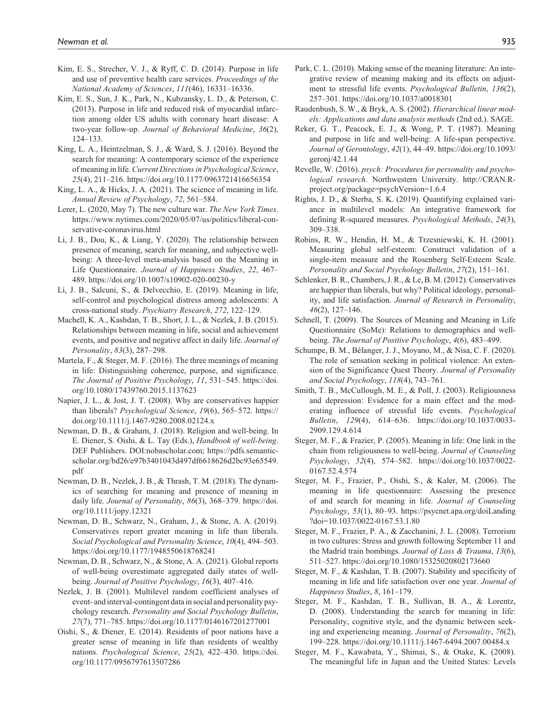- Kim, E. S., Strecher, V. J., & Ryff, C. D. (2014). Purpose in life and use of preventive health care services. *Proceedings of the National Academy of Sciences*, *111*(46), 16331–16336.
- Kim, E. S., Sun, J. K., Park, N., Kubzansky, L. D., & Peterson, C. (2013). Purpose in life and reduced risk of myocardial infarction among older US adults with coronary heart disease: A two-year follow-up. *Journal of Behavioral Medicine*, *36*(2), 124–133.
- King, L. A., Heintzelman, S. J., & Ward, S. J. (2016). Beyond the search for meaning: A contemporary science of the experience of meaning in life. *Current Directions in Psychological Science*, *25*(4), 211–216. <https://doi.org/10.1177/0963721416656354>
- King, L. A., & Hicks, J. A. (2021). The science of meaning in life. *Annual Review of Psychology*, *72*, 561–584.
- Lerer, L. (2020, May 7). The new culture war. *The New York Times*. [https://www.nytimes.com/2020/05/07/us/politics/liberal-con](https://www.nytimes.com/2020/05/07/us/politics/liberal-conservative-coronavirus.html)[servative-coronavirus.html](https://www.nytimes.com/2020/05/07/us/politics/liberal-conservative-coronavirus.html)
- Li, J. B., Dou, K., & Liang, Y. (2020). The relationship between presence of meaning, search for meaning, and subjective wellbeing: A three-level meta-analysis based on the Meaning in Life Questionnaire. *Journal of Happiness Studies*, *22*, 467– 489.<https://doi.org/10.1007/s10902-020-00230-y>
- Li, J. B., Salcuni, S., & Delvecchio, E. (2019). Meaning in life, self-control and psychological distress among adolescents: A cross-national study. *Psychiatry Research*, *272*, 122–129.
- Machell, K. A., Kashdan, T. B., Short, J. L., & Nezlek, J. B. (2015). Relationships between meaning in life, social and achievement events, and positive and negative affect in daily life. *Journal of Personality*, *83*(3), 287–298.
- Martela, F., & Steger, M. F. (2016). The three meanings of meaning in life: Distinguishing coherence, purpose, and significance. *The Journal of Positive Psychology*, *11*, 531–545. [https://doi.](https://doi.org/10.1080/17439760.2015.1137623) [org/10.1080/17439760.2015.1137623](https://doi.org/10.1080/17439760.2015.1137623)
- Napier, J. L., & Jost, J. T. (2008). Why are conservatives happier than liberals? *Psychological Science*, *19*(6), 565–572. [https://](https://doi.org/10.1111/j.1467-9280.2008.02124.x) [doi.org/10.1111/j.1467-9280.2008.02124.x](https://doi.org/10.1111/j.1467-9280.2008.02124.x)
- Newman, D. B., & Graham, J. (2018). Religion and well-being. In E. Diener, S. Oishi, & L. Tay (Eds.), *Handbook of well-being*. DEF Publishers. DOI[:nobascholar.com](http://nobascholar.com); [https://pdfs.semantic](https://pdfs.semanticscholar.org/bd26/e97b3401043d497df6618626d2bc93e65549.pdf)[scholar.org/bd26/e97b3401043d497df6618626d2bc93e65549.](https://pdfs.semanticscholar.org/bd26/e97b3401043d497df6618626d2bc93e65549.pdf) [pdf](https://pdfs.semanticscholar.org/bd26/e97b3401043d497df6618626d2bc93e65549.pdf)
- Newman, D. B., Nezlek, J. B., & Thrash, T. M. (2018). The dynamics of searching for meaning and presence of meaning in daily life. *Journal of Personality*, *86*(3), 368–379. [https://doi.](https://doi.org/10.1111/jopy.12321) [org/10.1111/jopy.12321](https://doi.org/10.1111/jopy.12321)
- Newman, D. B., Schwarz, N., Graham, J., & Stone, A. A. (2019). Conservatives report greater meaning in life than liberals. *Social Psychological and Personality Science*, *10*(4), 494–503. <https://doi.org/10.1177/1948550618768241>
- Newman, D. B., Schwarz, N., & Stone, A. A. (2021). Global reports of well-being overestimate aggregated daily states of wellbeing. *Journal of Positive Psychology*, *16*(3), 407–416.
- Nezlek, J. B. (2001). Multilevel random coefficient analyses of event- and interval-contingent data in social and personality psychology research. *Personality and Social Psychology Bulletin*, *27*(7), 771–785. <https://doi.org/10.1177/0146167201277001>
- Oishi, S., & Diener, E. (2014). Residents of poor nations have a greater sense of meaning in life than residents of wealthy nations. *Psychological Science*, *25*(2), 422–430. [https://doi.](https://doi.org/10.1177/0956797613507286) [org/10.1177/0956797613507286](https://doi.org/10.1177/0956797613507286)
- Park, C. L. (2010). Making sense of the meaning literature: An integrative review of meaning making and its effects on adjustment to stressful life events. *Psychological Bulletin*, *136*(2), 257–301.<https://doi.org/10.1037/a0018301>
- Raudenbush, S. W., & Bryk, A. S. (2002). *Hierarchical linear models: Applications and data analysis methods* (2nd ed.). SAGE.
- Reker, G. T., Peacock, E. J., & Wong, P. T. (1987). Meaning and purpose in life and well-being: A life-span perspective. *Journal of Gerontology*, *42*(1), 44–49. [https://doi.org/10.1093/](https://doi.org/10.1093/geronj/42.1.44) [geronj/42.1.44](https://doi.org/10.1093/geronj/42.1.44)
- Revelle, W. (2016). *psych: Procedures for personality and psychological research*. Northwestern University. [http://CRAN.R](http://CRAN.R-project.org/package=psychVersion=1.6.4)[project.org/package=psychVersion=1.6.4](http://CRAN.R-project.org/package=psychVersion=1.6.4)
- Rights, J. D., & Sterba, S. K. (2019). Quantifying explained variance in multilevel models: An integrative framework for defining R-squared measures. *Psychological Methods*, *24*(3), 309–338.
- Robins, R. W., Hendin, H. M., & Trzesniewski, K. H. (2001). Measuring global self-esteem: Construct validation of a single-item measure and the Rosenberg Self-Esteem Scale. *Personality and Social Psychology Bulletin*, *27*(2), 151–161.
- Schlenker, B. R., Chambers, J. R., & Le, B. M. (2012). Conservatives are happier than liberals, but why? Political ideology, personality, and life satisfaction. *Journal of Research in Personality*, *46*(2), 127–146.
- Schnell, T. (2009). The Sources of Meaning and Meaning in Life Questionnaire (SoMe): Relations to demographics and wellbeing. *The Journal of Positive Psychology*, *4*(6), 483–499.
- Schumpe, B. M., Bélanger, J. J., Moyano, M., & Nisa, C. F. (2020). The role of sensation seeking in political violence: An extension of the Significance Quest Theory. *Journal of Personality and Social Psychology*, *118*(4), 743–761.
- Smith, T. B., McCullough, M. E., & Poll, J. (2003). Religiousness and depression: Evidence for a main effect and the moderating influence of stressful life events. *Psychological Bulletin*, *129*(4), 614–636. [https://doi.org/10.1037/0033-](https://doi.org/10.1037/0033-2909.129.4.614) [2909.129.4.614](https://doi.org/10.1037/0033-2909.129.4.614)
- Steger, M. F., & Frazier, P. (2005). Meaning in life: One link in the chain from religiousness to well-being. *Journal of Counseling Psychology*, *52*(4), 574–582. [https://doi.org/10.1037/0022-](https://doi.org/10.1037/0022-0167.52.4.574) [0167.52.4.574](https://doi.org/10.1037/0022-0167.52.4.574)
- Steger, M. F., Frazier, P., Oishi, S., & Kaler, M. (2006). The meaning in life questionnaire: Assessing the presence of and search for meaning in life. *Journal of Counseling Psychology*, *53*(1), 80–93. [https://psycnet.apa.org/doiLanding](https://psycnet.apa.org/doiLanding?doi=10.1037/0022-0167.53.1.80) [?doi=10.1037/0022-0167.53.1.80](https://psycnet.apa.org/doiLanding?doi=10.1037/0022-0167.53.1.80)
- Steger, M. F., Frazier, P. A., & Zacchanini, J. L. (2008). Terrorism in two cultures: Stress and growth following September 11 and the Madrid train bombings. *Journal of Loss & Trauma*, *13*(6), 511–527.<https://doi.org/10.1080/15325020802173660>
- Steger, M. F., & Kashdan, T. B. (2007). Stability and specificity of meaning in life and life satisfaction over one year. *Journal of Happiness Studies*, *8*, 161–179.
- Steger, M. F., Kashdan, T. B., Sullivan, B. A., & Lorentz, D. (2008). Understanding the search for meaning in life: Personality, cognitive style, and the dynamic between seeking and experiencing meaning. *Journal of Personality*, *76*(2), 199–228. <https://doi.org/10.1111/j.1467-6494.2007.00484.x>
- Steger, M. F., Kawabata, Y., Shimai, S., & Otake, K. (2008). The meaningful life in Japan and the United States: Levels